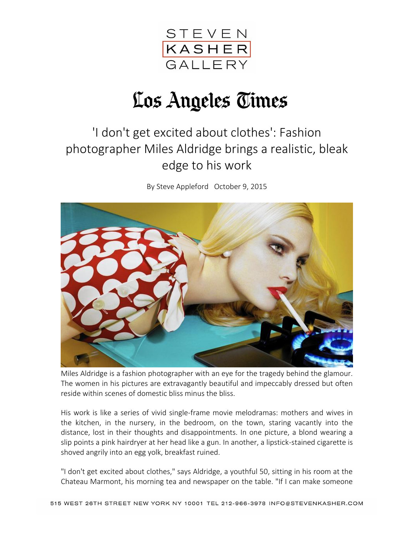

## Los Angeles Times

## 'I don't get excited about clothes': Fashion photographer Miles Aldridge brings a realistic, bleak edge to his work

By Steve Appleford October 9, 2015



Miles Aldridge is a fashion photographer with an eye for the tragedy behind the glamour. The women in his pictures are extravagantly beautiful and impeccably dressed but often reside within scenes of domestic bliss minus the bliss.

His work is like a series of vivid single-frame movie melodramas: mothers and wives in the kitchen, in the nursery, in the bedroom, on the town, staring vacantly into the distance, lost in their thoughts and disappointments. In one picture, a blond wearing a slip points a pink hairdryer at her head like a gun. In another, a lipstick-stained cigarette is shoved angrily into an egg yolk, breakfast ruined.

"I don't get excited about clothes," says Aldridge, a youthful 50, sitting in his room at the Chateau Marmont, his morning tea and newspaper on the table. "If I can make someone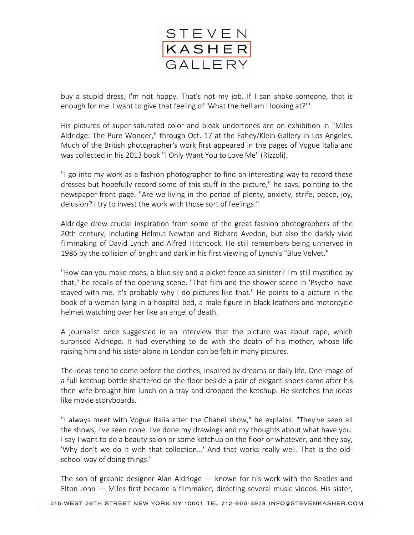

buy a stupid dress, I'm not happy. That's not my job. If I can shake someone, that is enough for me. I want to give that feeling of 'What the hell am I looking at?'"

His pictures of super-saturated color and bleak undertones are on exhibition in "Miles Aldridge: The Pure Wonder," through Oct. 17 at the Fahey/Klein Gallery in Los Angeles. Much of the British photographer's work first appeared in the pages of Vogue Italia and was collected in his 2013 book "I Only Want You to Love Me" (Rizzoli).

"I go into my work as a fashion photographer to find an interesting way to record these dresses but hopefully record some of this stuff in the picture," he says, pointing to the newspaper front page. "Are we living in the period of plenty, anxiety, strife, peace, joy, delusion? I try to invest the work with those sort of feelings."

Aldridge drew crucial inspiration from some of the great fashion photographers of the 20th century, including Helmut Newton and Richard Avedon, but also the darkly vivid filmmaking of David Lynch and Alfred Hitchcock. He still remembers being unnerved in 1986 by the collision of bright and dark in his first viewing of Lynch's "Blue Velvet."

"How can you make roses, a blue sky and a picket fence so sinister? I'm still mystified by that," he recalls of the opening scene. "That film and the shower scene in 'Psycho' have stayed with me. It's probably why I do pictures like that." He points to a picture in the book of a woman lying in a hospital bed, a male figure in black leathers and motorcycle helmet watching over her like an angel of death.

A journalist once suggested in an interview that the picture was about rape, which surprised Aldridge. It had everything to do with the death of his mother, whose life raising him and his sister alone in London can be felt in many pictures.

The ideas tend to come before the clothes, inspired by dreams or daily life. One image of a full ketchup bottle shattered on the floor beside a pair of elegant shoes came after his then-wife brought him lunch on a tray and dropped the ketchup. He sketches the ideas like movie storyboards.

"I always meet with Vogue Italia after the Chanel show," he explains. "They've seen all the shows, I've seen none. I've done my drawings and my thoughts about what have you. I say I want to do a beauty salon or some ketchup on the floor or whatever, and they say, 'Why don't we do it with that collection...' And that works really well. That is the oldschool way of doing things."

The son of graphic designer Alan Aldridge — known for his work with the Beatles and Elton John — Miles first became a filmmaker, directing several music videos. His sister,